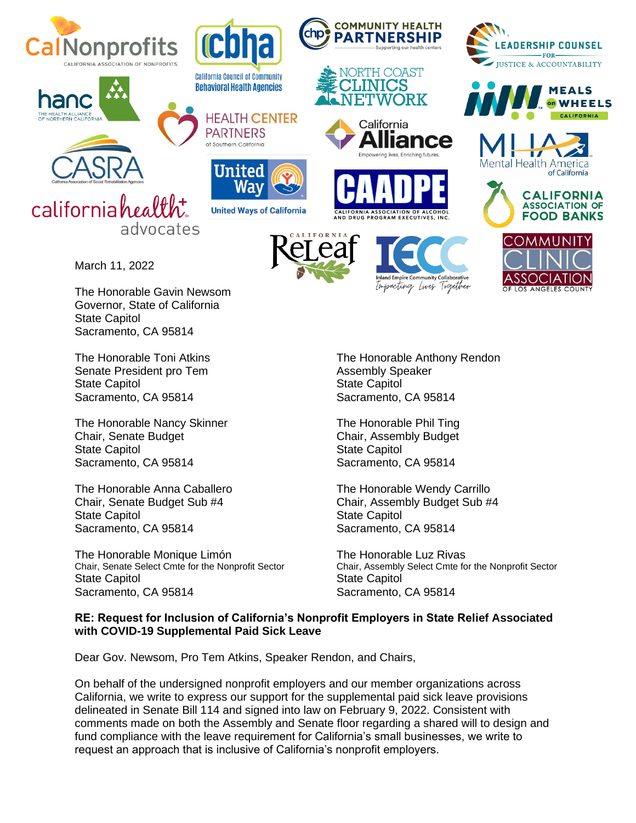





March 11, 2022

The Honorable Gavin Newsom Governor, State of California State Capitol Sacramento, CA 95814

Senate President pro Tem Assembly Speaker State Capitol **State Capitol** State Capitol Sacramento, CA 95814 Sacramento, CA 95814

The Honorable Nancy Skinner The Honorable Phil Ting Chair, Senate Budget Chair, Assembly Budget State Capitol **State Capitol** State Capitol Sacramento, CA 95814 Sacramento, CA 95814

The Honorable Anna Caballero The Honorable Wendy Carrillo State Capitol **State Capitol** Sacramento, CA 95814 Sacramento, CA 95814

The Honorable Monique Limón<br>
Chair, Senate Select Cmte for the Nonprofit Sector<br>
Chair, Assembly Select Cmte for State Capitol **State Capitol** Sacramento, CA 95814 Sacramento, CA 95814





**COMMUNITY HEALTH** PARTNERSHIP











The Honorable Toni Atkins The Honorable Anthony Rendon

Chair, Senate Budget Sub #4 Chair, Assembly Budget Sub #4

Chair, Assembly Select Cmte for the Nonprofit Sector

## **RE: Request for Inclusion of California's Nonprofit Employers in State Relief Associated with COVID-19 Supplemental Paid Sick Leave**

Dear Gov. Newsom, Pro Tem Atkins, Speaker Rendon, and Chairs,

**California Council of Community** 

**Behavioral Health Agencies** 

**PARTNERS** 

of Southern California

United

**HEALTH CENTER** 

**United Ways of California** 

On behalf of the undersigned nonprofit employers and our member organizations across California, we write to express our support for the supplemental paid sick leave provisions delineated in Senate Bill 114 and signed into law on February 9, 2022. Consistent with comments made on both the Assembly and Senate floor regarding a shared will to design and fund compliance with the leave requirement for California's small businesses, we write to request an approach that is inclusive of California's nonprofit employers.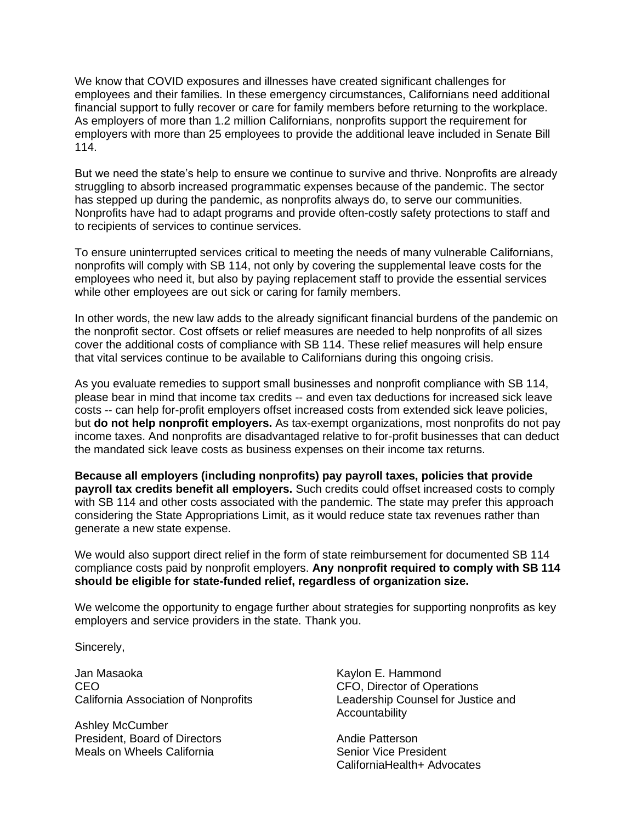We know that COVID exposures and illnesses have created significant challenges for employees and their families. In these emergency circumstances, Californians need additional financial support to fully recover or care for family members before returning to the workplace. As employers of more than 1.2 million Californians, nonprofits support the requirement for employers with more than 25 employees to provide the additional leave included in Senate Bill 114.

But we need the state's help to ensure we continue to survive and thrive. Nonprofits are already struggling to absorb increased programmatic expenses because of the pandemic. The sector has stepped up during the pandemic, as nonprofits always do, to serve our communities. Nonprofits have had to adapt programs and provide often-costly safety protections to staff and to recipients of services to continue services.

To ensure uninterrupted services critical to meeting the needs of many vulnerable Californians, nonprofits will comply with SB 114, not only by covering the supplemental leave costs for the employees who need it, but also by paying replacement staff to provide the essential services while other employees are out sick or caring for family members.

In other words, the new law adds to the already significant financial burdens of the pandemic on the nonprofit sector. Cost offsets or relief measures are needed to help nonprofits of all sizes cover the additional costs of compliance with SB 114. These relief measures will help ensure that vital services continue to be available to Californians during this ongoing crisis.

As you evaluate remedies to support small businesses and nonprofit compliance with SB 114, please bear in mind that income tax credits -- and even tax deductions for increased sick leave costs -- can help for-profit employers offset increased costs from extended sick leave policies, but **do not help nonprofit employers.** As tax-exempt organizations, most nonprofits do not pay income taxes. And nonprofits are disadvantaged relative to for-profit businesses that can deduct the mandated sick leave costs as business expenses on their income tax returns.

**Because all employers (including nonprofits) pay payroll taxes, policies that provide payroll tax credits benefit all employers.** Such credits could offset increased costs to comply with SB 114 and other costs associated with the pandemic. The state may prefer this approach considering the State Appropriations Limit, as it would reduce state tax revenues rather than generate a new state expense.

We would also support direct relief in the form of state reimbursement for documented SB 114 compliance costs paid by nonprofit employers. **Any nonprofit required to comply with SB 114 should be eligible for state-funded relief, regardless of organization size.** 

We welcome the opportunity to engage further about strategies for supporting nonprofits as key employers and service providers in the state. Thank you.

Sincerely,

Jan Masaoka CEO California Association of Nonprofits

Ashley McCumber President, Board of Directors Meals on Wheels California

Kaylon E. Hammond CFO, Director of Operations Leadership Counsel for Justice and **Accountability** 

Andie Patterson Senior Vice President CaliforniaHealth+ Advocates